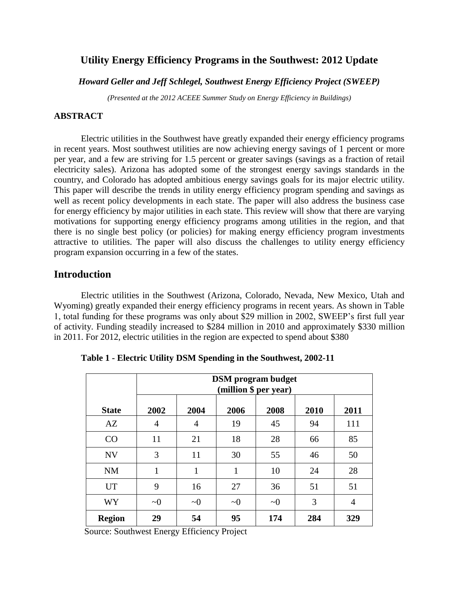# **Utility Energy Efficiency Programs in the Southwest: 2012 Update**

## *Howard Geller and Jeff Schlegel, Southwest Energy Efficiency Project (SWEEP)*

*(Presented at the 2012 ACEEE Summer Study on Energy Efficiency in Buildings)*

## **ABSTRACT**

Electric utilities in the Southwest have greatly expanded their energy efficiency programs in recent years. Most southwest utilities are now achieving energy savings of 1 percent or more per year, and a few are striving for 1.5 percent or greater savings (savings as a fraction of retail electricity sales). Arizona has adopted some of the strongest energy savings standards in the country, and Colorado has adopted ambitious energy savings goals for its major electric utility. This paper will describe the trends in utility energy efficiency program spending and savings as well as recent policy developments in each state. The paper will also address the business case for energy efficiency by major utilities in each state. This review will show that there are varying motivations for supporting energy efficiency programs among utilities in the region, and that there is no single best policy (or policies) for making energy efficiency program investments attractive to utilities. The paper will also discuss the challenges to utility energy efficiency program expansion occurring in a few of the states.

## **Introduction**

Electric utilities in the Southwest (Arizona, Colorado, Nevada, New Mexico, Utah and Wyoming) greatly expanded their energy efficiency programs in recent years. As shown in Table 1, total funding for these programs was only about \$29 million in 2002, SWEEP's first full year of activity. Funding steadily increased to \$284 million in 2010 and approximately \$330 million in 2011. For 2012, electric utilities in the region are expected to spend about \$380

|               | <b>DSM</b> program budget<br>(million \$ per year) |          |          |          |      |      |
|---------------|----------------------------------------------------|----------|----------|----------|------|------|
| <b>State</b>  | 2002                                               | 2004     | 2006     | 2008     | 2010 | 2011 |
| AZ            | 4                                                  | 4        | 19       | 45       | 94   | 111  |
| CO            | 11                                                 | 21       | 18       | 28       | 66   | 85   |
| <b>NV</b>     | 3                                                  | 11       | 30       | 55       | 46   | 50   |
| <b>NM</b>     | 1                                                  | 1        | 1        | 10       | 24   | 28   |
| <b>UT</b>     | 9                                                  | 16       | 27       | 36       | 51   | 51   |
| <b>WY</b>     | $\sim 0$                                           | $\sim 0$ | $\sim 0$ | $\sim 0$ | 3    | 4    |
| <b>Region</b> | 29                                                 | 54       | 95       | 174      | 284  | 329  |

**Table 1 - Electric Utility DSM Spending in the Southwest, 2002-11**

Source: Southwest Energy Efficiency Project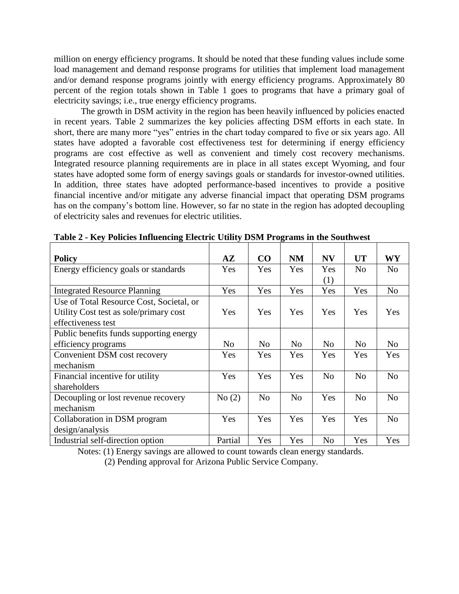million on energy efficiency programs. It should be noted that these funding values include some load management and demand response programs for utilities that implement load management and/or demand response programs jointly with energy efficiency programs. Approximately 80 percent of the region totals shown in Table 1 goes to programs that have a primary goal of electricity savings; i.e., true energy efficiency programs.

The growth in DSM activity in the region has been heavily influenced by policies enacted in recent years. Table 2 summarizes the key policies affecting DSM efforts in each state. In short, there are many more "yes" entries in the chart today compared to five or six years ago. All states have adopted a favorable cost effectiveness test for determining if energy efficiency programs are cost effective as well as convenient and timely cost recovery mechanisms. Integrated resource planning requirements are in place in all states except Wyoming, and four states have adopted some form of energy savings goals or standards for investor-owned utilities. In addition, three states have adopted performance-based incentives to provide a positive financial incentive and/or mitigate any adverse financial impact that operating DSM programs has on the company's bottom line. However, so far no state in the region has adopted decoupling of electricity sales and revenues for electric utilities.

| <b>Policy</b>                                                | $\mathbf{A} \mathbf{Z}$ | CO             | <b>NM</b>      | <b>NV</b> | <b>UT</b>      | WY             |
|--------------------------------------------------------------|-------------------------|----------------|----------------|-----------|----------------|----------------|
| Energy efficiency goals or standards                         | Yes                     | Yes            | Yes            | Yes       | N <sub>o</sub> | N <sub>0</sub> |
|                                                              |                         |                |                | (1)       |                |                |
| <b>Integrated Resource Planning</b>                          | Yes                     | Yes            | Yes            | Yes       | Yes            | N <sub>o</sub> |
| Use of Total Resource Cost, Societal, or                     | Yes                     | Yes            | Yes            | Yes       | Yes            | Yes            |
| Utility Cost test as sole/primary cost<br>effectiveness test |                         |                |                |           |                |                |
| Public benefits funds supporting energy                      |                         |                |                |           |                |                |
| efficiency programs                                          | N <sub>0</sub>          | N <sub>0</sub> | N <sub>0</sub> | No        | N <sub>0</sub> | N <sub>0</sub> |
| Convenient DSM cost recovery                                 | Yes                     | Yes            | Yes            | Yes       | Yes            | Yes            |
| mechanism                                                    |                         |                |                |           |                |                |
| Financial incentive for utility                              | Yes                     | Yes            | <b>Yes</b>     | No        | N <sub>0</sub> | N <sub>o</sub> |
| shareholders                                                 |                         |                |                |           |                |                |
| Decoupling or lost revenue recovery                          | No(2)                   | N <sub>0</sub> | N <sub>0</sub> | Yes       | No             | N <sub>o</sub> |
| mechanism                                                    |                         |                |                |           |                |                |
| Collaboration in DSM program                                 | Yes                     | Yes            | Yes            | Yes       | Yes            | No             |
| design/analysis                                              |                         |                |                |           |                |                |
| Industrial self-direction option                             | Partial                 | Yes            | Yes            | No        | Yes            | Yes            |

**Table 2 - Key Policies Influencing Electric Utility DSM Programs in the Southwest**

Notes: (1) Energy savings are allowed to count towards clean energy standards.

(2) Pending approval for Arizona Public Service Company.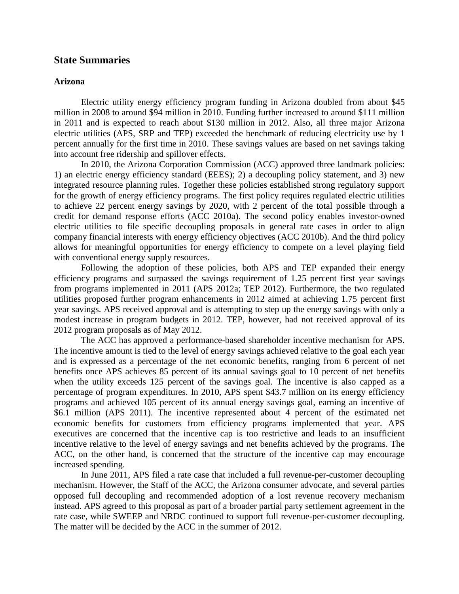## **State Summaries**

### **Arizona**

Electric utility energy efficiency program funding in Arizona doubled from about \$45 million in 2008 to around \$94 million in 2010. Funding further increased to around \$111 million in 2011 and is expected to reach about \$130 million in 2012. Also, all three major Arizona electric utilities (APS, SRP and TEP) exceeded the benchmark of reducing electricity use by 1 percent annually for the first time in 2010. These savings values are based on net savings taking into account free ridership and spillover effects.

In 2010, the Arizona Corporation Commission (ACC) approved three landmark policies: 1) an electric energy efficiency standard (EEES); 2) a decoupling policy statement, and 3) new integrated resource planning rules. Together these policies established strong regulatory support for the growth of energy efficiency programs. The first policy requires regulated electric utilities to achieve 22 percent energy savings by 2020, with 2 percent of the total possible through a credit for demand response efforts (ACC 2010a). The second policy enables investor-owned electric utilities to file specific decoupling proposals in general rate cases in order to align company financial interests with energy efficiency objectives (ACC 2010b). And the third policy allows for meaningful opportunities for energy efficiency to compete on a level playing field with conventional energy supply resources.

Following the adoption of these policies, both APS and TEP expanded their energy efficiency programs and surpassed the savings requirement of 1.25 percent first year savings from programs implemented in 2011 (APS 2012a; TEP 2012). Furthermore, the two regulated utilities proposed further program enhancements in 2012 aimed at achieving 1.75 percent first year savings. APS received approval and is attempting to step up the energy savings with only a modest increase in program budgets in 2012. TEP, however, had not received approval of its 2012 program proposals as of May 2012.

The ACC has approved a performance-based shareholder incentive mechanism for APS. The incentive amount is tied to the level of energy savings achieved relative to the goal each year and is expressed as a percentage of the net economic benefits, ranging from 6 percent of net benefits once APS achieves 85 percent of its annual savings goal to 10 percent of net benefits when the utility exceeds 125 percent of the savings goal. The incentive is also capped as a percentage of program expenditures. In 2010, APS spent \$43.7 million on its energy efficiency programs and achieved 105 percent of its annual energy savings goal, earning an incentive of \$6.1 million (APS 2011). The incentive represented about 4 percent of the estimated net economic benefits for customers from efficiency programs implemented that year. APS executives are concerned that the incentive cap is too restrictive and leads to an insufficient incentive relative to the level of energy savings and net benefits achieved by the programs. The ACC, on the other hand, is concerned that the structure of the incentive cap may encourage increased spending.

In June 2011, APS filed a rate case that included a full revenue-per-customer decoupling mechanism. However, the Staff of the ACC, the Arizona consumer advocate, and several parties opposed full decoupling and recommended adoption of a lost revenue recovery mechanism instead. APS agreed to this proposal as part of a broader partial party settlement agreement in the rate case, while SWEEP and NRDC continued to support full revenue-per-customer decoupling. The matter will be decided by the ACC in the summer of 2012.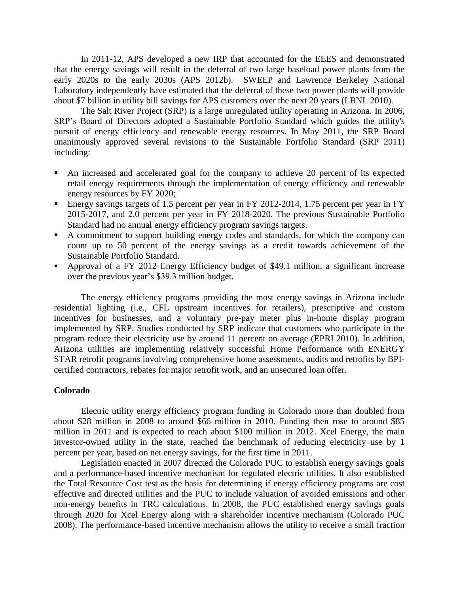In 2011-12, APS developed a new IRP that accounted for the EEES and demonstrated that the energy savings will result in the deferral of two large baseload power plants from the early 2020s to the early 2030s (APS 2012b). SWEEP and Lawrence Berkeley National Laboratory independently have estimated that the deferral of these two power plants will provide about \$7 billion in utility bill savings for APS customers over the next 20 years (LBNL 2010).

The Salt River Project (SRP) is a large unregulated utility operating in Arizona. In 2006, SRP's Board of Directors adopted a Sustainable Portfolio Standard which guides the utility's pursuit of energy efficiency and renewable energy resources. In May 2011, the SRP Board unanimously approved several revisions to the Sustainable Portfolio Standard (SRP 2011) including:

- An increased and accelerated goal for the company to achieve 20 percent of its expected retail energy requirements through the implementation of energy efficiency and renewable energy resources by FY 2020;
- Energy savings targets of 1.5 percent per year in FY 2012-2014, 1.75 percent per year in FY 2015-2017, and 2.0 percent per year in FY 2018-2020. The previous Sustainable Portfolio Standard had no annual energy efficiency program savings targets.
- A commitment to support building energy codes and standards, for which the company can count up to 50 percent of the energy savings as a credit towards achievement of the Sustainable Portfolio Standard.
- Approval of a FY 2012 Energy Efficiency budget of \$49.1 million, a significant increase over the previous year's \$39.3 million budget.

The energy efficiency programs providing the most energy savings in Arizona include residential lighting (i.e., CFL upstream incentives for retailers), prescriptive and custom incentives for businesses, and a voluntary pre-pay meter plus in-home display program implemented by SRP. Studies conducted by SRP indicate that customers who participate in the program reduce their electricity use by around 11 percent on average (EPRI 2010). In addition, Arizona utilities are implementing relatively successful Home Performance with ENERGY STAR retrofit programs involving comprehensive home assessments, audits and retrofits by BPIcertified contractors, rebates for major retrofit work, and an unsecured loan offer.

### **Colorado**

Electric utility energy efficiency program funding in Colorado more than doubled from about \$28 million in 2008 to around \$66 million in 2010. Funding then rose to around \$85 million in 2011 and is expected to reach about \$100 million in 2012. Xcel Energy, the main investor-owned utility in the state, reached the benchmark of reducing electricity use by 1 percent per year, based on net energy savings, for the first time in 2011.

Legislation enacted in 2007 directed the Colorado PUC to establish energy savings goals and a performance-based incentive mechanism for regulated electric utilities. It also established the Total Resource Cost test as the basis for determining if energy efficiency programs are cost effective and directed utilities and the PUC to include valuation of avoided emissions and other non-energy benefits in TRC calculations. In 2008, the PUC established energy savings goals through 2020 for Xcel Energy along with a shareholder incentive mechanism (Colorado PUC 2008). The performance-based incentive mechanism allows the utility to receive a small fraction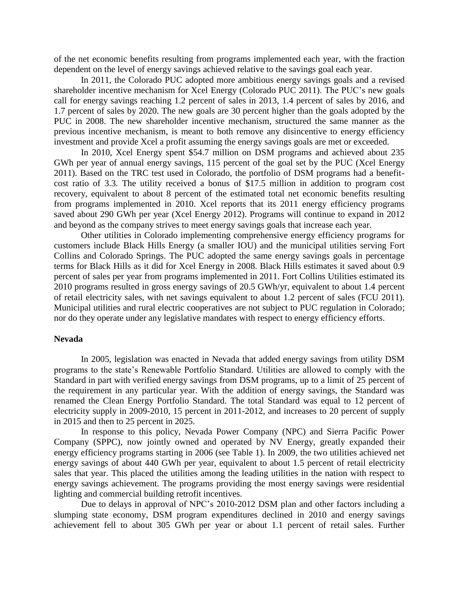of the net economic benefits resulting from programs implemented each year, with the fraction dependent on the level of energy savings achieved relative to the savings goal each year.

In 2011, the Colorado PUC adopted more ambitious energy savings goals and a revised shareholder incentive mechanism for Xcel Energy (Colorado PUC 2011). The PUC's new goals call for energy savings reaching 1.2 percent of sales in 2013, 1.4 percent of sales by 2016, and 1.7 percent of sales by 2020. The new goals are 30 percent higher than the goals adopted by the PUC in 2008. The new shareholder incentive mechanism, structured the same manner as the previous incentive mechanism, is meant to both remove any disincentive to energy efficiency investment and provide Xcel a profit assuming the energy savings goals are met or exceeded.

In 2010, Xcel Energy spent \$54.7 million on DSM programs and achieved about 235 GWh per year of annual energy savings, 115 percent of the goal set by the PUC (Xcel Energy 2011). Based on the TRC test used in Colorado, the portfolio of DSM programs had a benefitcost ratio of 3.3. The utility received a bonus of \$17.5 million in addition to program cost recovery, equivalent to about 8 percent of the estimated total net economic benefits resulting from programs implemented in 2010. Xcel reports that its 2011 energy efficiency programs saved about 290 GWh per year (Xcel Energy 2012). Programs will continue to expand in 2012 and beyond as the company strives to meet energy savings goals that increase each year.

Other utilities in Colorado implementing comprehensive energy efficiency programs for customers include Black Hills Energy (a smaller IOU) and the municipal utilities serving Fort Collins and Colorado Springs. The PUC adopted the same energy savings goals in percentage terms for Black Hills as it did for Xcel Energy in 2008. Black Hills estimates it saved about 0.9 percent of sales per year from programs implemented in 2011. Fort Collins Utilities estimated its 2010 programs resulted in gross energy savings of 20.5 GWh/yr, equivalent to about 1.4 percent of retail electricity sales, with net savings equivalent to about 1.2 percent of sales (FCU 2011). Municipal utilities and rural electric cooperatives are not subject to PUC regulation in Colorado; nor do they operate under any legislative mandates with respect to energy efficiency efforts.

#### **Nevada**

In 2005, legislation was enacted in Nevada that added energy savings from utility DSM programs to the state's Renewable Portfolio Standard. Utilities are allowed to comply with the Standard in part with verified energy savings from DSM programs, up to a limit of 25 percent of the requirement in any particular year. With the addition of energy savings, the Standard was renamed the Clean Energy Portfolio Standard. The total Standard was equal to 12 percent of electricity supply in 2009-2010, 15 percent in 2011-2012, and increases to 20 percent of supply in 2015 and then to 25 percent in 2025.

In response to this policy, Nevada Power Company (NPC) and Sierra Pacific Power Company (SPPC), now jointly owned and operated by NV Energy, greatly expanded their energy efficiency programs starting in 2006 (see Table 1). In 2009, the two utilities achieved net energy savings of about 440 GWh per year, equivalent to about 1.5 percent of retail electricity sales that year. This placed the utilities among the leading utilities in the nation with respect to energy savings achievement. The programs providing the most energy savings were residential lighting and commercial building retrofit incentives.

Due to delays in approval of NPC's 2010-2012 DSM plan and other factors including a slumping state economy, DSM program expenditures declined in 2010 and energy savings achievement fell to about 305 GWh per year or about 1.1 percent of retail sales. Further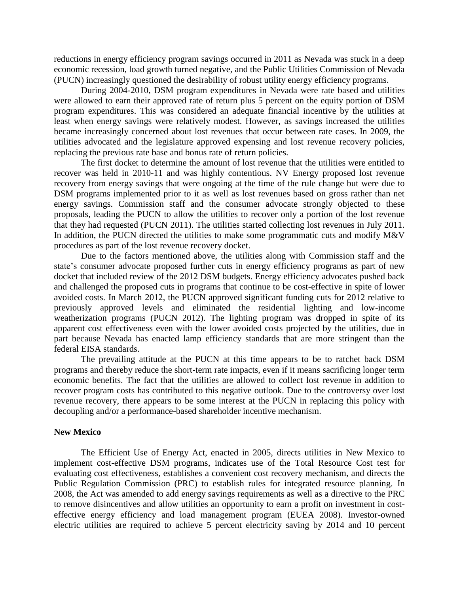reductions in energy efficiency program savings occurred in 2011 as Nevada was stuck in a deep economic recession, load growth turned negative, and the Public Utilities Commission of Nevada (PUCN) increasingly questioned the desirability of robust utility energy efficiency programs.

During 2004-2010, DSM program expenditures in Nevada were rate based and utilities were allowed to earn their approved rate of return plus 5 percent on the equity portion of DSM program expenditures. This was considered an adequate financial incentive by the utilities at least when energy savings were relatively modest. However, as savings increased the utilities became increasingly concerned about lost revenues that occur between rate cases. In 2009, the utilities advocated and the legislature approved expensing and lost revenue recovery policies, replacing the previous rate base and bonus rate of return policies.

The first docket to determine the amount of lost revenue that the utilities were entitled to recover was held in 2010-11 and was highly contentious. NV Energy proposed lost revenue recovery from energy savings that were ongoing at the time of the rule change but were due to DSM programs implemented prior to it as well as lost revenues based on gross rather than net energy savings. Commission staff and the consumer advocate strongly objected to these proposals, leading the PUCN to allow the utilities to recover only a portion of the lost revenue that they had requested (PUCN 2011). The utilities started collecting lost revenues in July 2011. In addition, the PUCN directed the utilities to make some programmatic cuts and modify M&V procedures as part of the lost revenue recovery docket.

Due to the factors mentioned above, the utilities along with Commission staff and the state's consumer advocate proposed further cuts in energy efficiency programs as part of new docket that included review of the 2012 DSM budgets. Energy efficiency advocates pushed back and challenged the proposed cuts in programs that continue to be cost-effective in spite of lower avoided costs. In March 2012, the PUCN approved significant funding cuts for 2012 relative to previously approved levels and eliminated the residential lighting and low-income weatherization programs (PUCN 2012). The lighting program was dropped in spite of its apparent cost effectiveness even with the lower avoided costs projected by the utilities, due in part because Nevada has enacted lamp efficiency standards that are more stringent than the federal EISA standards.

The prevailing attitude at the PUCN at this time appears to be to ratchet back DSM programs and thereby reduce the short-term rate impacts, even if it means sacrificing longer term economic benefits. The fact that the utilities are allowed to collect lost revenue in addition to recover program costs has contributed to this negative outlook. Due to the controversy over lost revenue recovery, there appears to be some interest at the PUCN in replacing this policy with decoupling and/or a performance-based shareholder incentive mechanism.

#### **New Mexico**

The Efficient Use of Energy Act, enacted in 2005, directs utilities in New Mexico to implement cost-effective DSM programs, indicates use of the Total Resource Cost test for evaluating cost effectiveness, establishes a convenient cost recovery mechanism, and directs the Public Regulation Commission (PRC) to establish rules for integrated resource planning. In 2008, the Act was amended to add energy savings requirements as well as a directive to the PRC to remove disincentives and allow utilities an opportunity to earn a profit on investment in costeffective energy efficiency and load management program (EUEA 2008). Investor-owned electric utilities are required to achieve 5 percent electricity saving by 2014 and 10 percent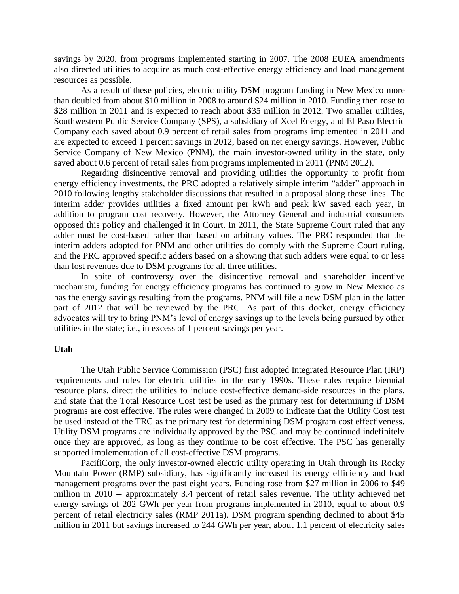savings by 2020, from programs implemented starting in 2007. The 2008 EUEA amendments also directed utilities to acquire as much cost-effective energy efficiency and load management resources as possible.

As a result of these policies, electric utility DSM program funding in New Mexico more than doubled from about \$10 million in 2008 to around \$24 million in 2010. Funding then rose to \$28 million in 2011 and is expected to reach about \$35 million in 2012. Two smaller utilities, Southwestern Public Service Company (SPS), a subsidiary of Xcel Energy, and El Paso Electric Company each saved about 0.9 percent of retail sales from programs implemented in 2011 and are expected to exceed 1 percent savings in 2012, based on net energy savings. However, Public Service Company of New Mexico (PNM), the main investor-owned utility in the state, only saved about 0.6 percent of retail sales from programs implemented in 2011 (PNM 2012).

Regarding disincentive removal and providing utilities the opportunity to profit from energy efficiency investments, the PRC adopted a relatively simple interim "adder" approach in 2010 following lengthy stakeholder discussions that resulted in a proposal along these lines. The interim adder provides utilities a fixed amount per kWh and peak kW saved each year, in addition to program cost recovery. However, the Attorney General and industrial consumers opposed this policy and challenged it in Court. In 2011, the State Supreme Court ruled that any adder must be cost-based rather than based on arbitrary values. The PRC responded that the interim adders adopted for PNM and other utilities do comply with the Supreme Court ruling, and the PRC approved specific adders based on a showing that such adders were equal to or less than lost revenues due to DSM programs for all three utilities.

In spite of controversy over the disincentive removal and shareholder incentive mechanism, funding for energy efficiency programs has continued to grow in New Mexico as has the energy savings resulting from the programs. PNM will file a new DSM plan in the latter part of 2012 that will be reviewed by the PRC. As part of this docket, energy efficiency advocates will try to bring PNM's level of energy savings up to the levels being pursued by other utilities in the state; i.e., in excess of 1 percent savings per year.

#### **Utah**

The Utah Public Service Commission (PSC) first adopted Integrated Resource Plan (IRP) requirements and rules for electric utilities in the early 1990s. These rules require biennial resource plans, direct the utilities to include cost-effective demand-side resources in the plans, and state that the Total Resource Cost test be used as the primary test for determining if DSM programs are cost effective. The rules were changed in 2009 to indicate that the Utility Cost test be used instead of the TRC as the primary test for determining DSM program cost effectiveness. Utility DSM programs are individually approved by the PSC and may be continued indefinitely once they are approved, as long as they continue to be cost effective. The PSC has generally supported implementation of all cost-effective DSM programs.

PacifiCorp, the only investor-owned electric utility operating in Utah through its Rocky Mountain Power (RMP) subsidiary, has significantly increased its energy efficiency and load management programs over the past eight years. Funding rose from \$27 million in 2006 to \$49 million in 2010 -- approximately 3.4 percent of retail sales revenue. The utility achieved net energy savings of 202 GWh per year from programs implemented in 2010, equal to about 0.9 percent of retail electricity sales (RMP 2011a). DSM program spending declined to about \$45 million in 2011 but savings increased to 244 GWh per year, about 1.1 percent of electricity sales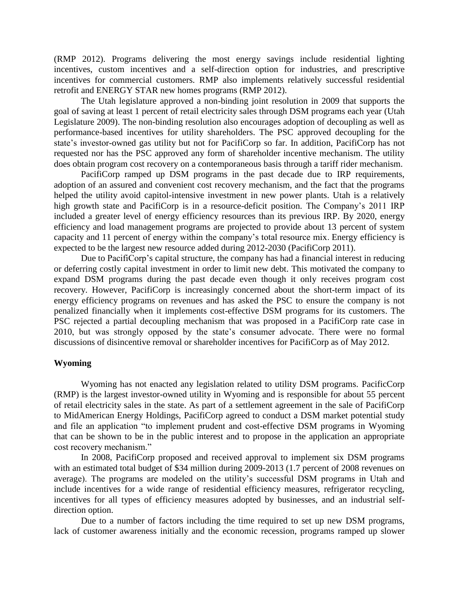(RMP 2012). Programs delivering the most energy savings include residential lighting incentives, custom incentives and a self-direction option for industries, and prescriptive incentives for commercial customers. RMP also implements relatively successful residential retrofit and ENERGY STAR new homes programs (RMP 2012).

The Utah legislature approved a non-binding joint resolution in 2009 that supports the goal of saving at least 1 percent of retail electricity sales through DSM programs each year (Utah Legislature 2009). The non-binding resolution also encourages adoption of decoupling as well as performance-based incentives for utility shareholders. The PSC approved decoupling for the state's investor-owned gas utility but not for PacifiCorp so far. In addition, PacifiCorp has not requested nor has the PSC approved any form of shareholder incentive mechanism. The utility does obtain program cost recovery on a contemporaneous basis through a tariff rider mechanism.

PacifiCorp ramped up DSM programs in the past decade due to IRP requirements, adoption of an assured and convenient cost recovery mechanism, and the fact that the programs helped the utility avoid capitol-intensive investment in new power plants. Utah is a relatively high growth state and PacifiCorp is in a resource-deficit position. The Company's 2011 IRP included a greater level of energy efficiency resources than its previous IRP. By 2020, energy efficiency and load management programs are projected to provide about 13 percent of system capacity and 11 percent of energy within the company's total resource mix. Energy efficiency is expected to be the largest new resource added during 2012-2030 (PacifiCorp 2011).

Due to PacifiCorp's capital structure, the company has had a financial interest in reducing or deferring costly capital investment in order to limit new debt. This motivated the company to expand DSM programs during the past decade even though it only receives program cost recovery. However, PacifiCorp is increasingly concerned about the short-term impact of its energy efficiency programs on revenues and has asked the PSC to ensure the company is not penalized financially when it implements cost-effective DSM programs for its customers. The PSC rejected a partial decoupling mechanism that was proposed in a PacifiCorp rate case in 2010, but was strongly opposed by the state's consumer advocate. There were no formal discussions of disincentive removal or shareholder incentives for PacifiCorp as of May 2012.

#### **Wyoming**

Wyoming has not enacted any legislation related to utility DSM programs. PacificCorp (RMP) is the largest investor-owned utility in Wyoming and is responsible for about 55 percent of retail electricity sales in the state. As part of a settlement agreement in the sale of PacifiCorp to MidAmerican Energy Holdings, PacifiCorp agreed to conduct a DSM market potential study and file an application "to implement prudent and cost-effective DSM programs in Wyoming that can be shown to be in the public interest and to propose in the application an appropriate cost recovery mechanism."

In 2008, PacifiCorp proposed and received approval to implement six DSM programs with an estimated total budget of \$34 million during 2009-2013 (1.7 percent of 2008 revenues on average). The programs are modeled on the utility's successful DSM programs in Utah and include incentives for a wide range of residential efficiency measures, refrigerator recycling, incentives for all types of efficiency measures adopted by businesses, and an industrial selfdirection option.

Due to a number of factors including the time required to set up new DSM programs, lack of customer awareness initially and the economic recession, programs ramped up slower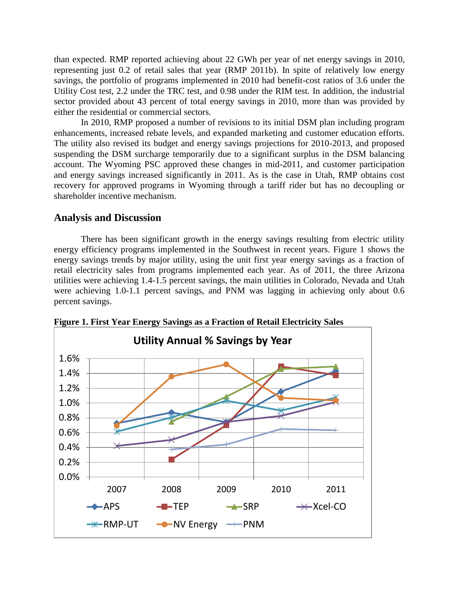than expected. RMP reported achieving about 22 GWh per year of net energy savings in 2010, representing just 0.2 of retail sales that year (RMP 2011b). In spite of relatively low energy savings, the portfolio of programs implemented in 2010 had benefit-cost ratios of 3.6 under the Utility Cost test, 2.2 under the TRC test, and 0.98 under the RIM test. In addition, the industrial sector provided about 43 percent of total energy savings in 2010, more than was provided by either the residential or commercial sectors.

In 2010, RMP proposed a number of revisions to its initial DSM plan including program enhancements, increased rebate levels, and expanded marketing and customer education efforts. The utility also revised its budget and energy savings projections for 2010-2013, and proposed suspending the DSM surcharge temporarily due to a significant surplus in the DSM balancing account. The Wyoming PSC approved these changes in mid-2011, and customer participation and energy savings increased significantly in 2011. As is the case in Utah, RMP obtains cost recovery for approved programs in Wyoming through a tariff rider but has no decoupling or shareholder incentive mechanism.

### **Analysis and Discussion**

There has been significant growth in the energy savings resulting from electric utility energy efficiency programs implemented in the Southwest in recent years. Figure 1 shows the energy savings trends by major utility, using the unit first year energy savings as a fraction of retail electricity sales from programs implemented each year. As of 2011, the three Arizona utilities were achieving 1.4-1.5 percent savings, the main utilities in Colorado, Nevada and Utah were achieving 1.0-1.1 percent savings, and PNM was lagging in achieving only about 0.6 percent savings.



**Figure 1. First Year Energy Savings as a Fraction of Retail Electricity Sales**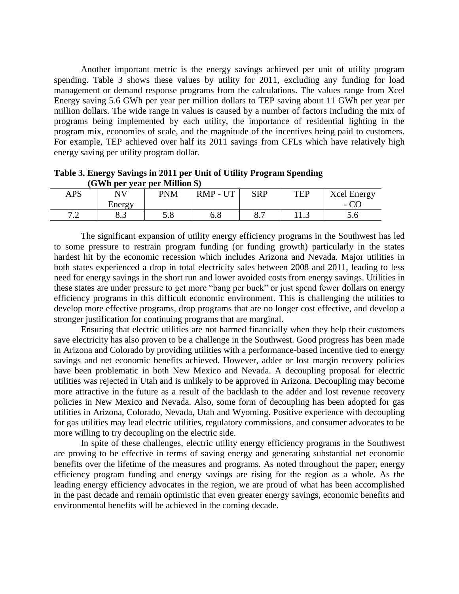Another important metric is the energy savings achieved per unit of utility program spending. Table 3 shows these values by utility for 2011, excluding any funding for load management or demand response programs from the calculations. The values range from Xcel Energy saving 5.6 GWh per year per million dollars to TEP saving about 11 GWh per year per million dollars. The wide range in values is caused by a number of factors including the mix of programs being implemented by each utility, the importance of residential lighting in the program mix, economies of scale, and the magnitude of the incentives being paid to customers. For example, TEP achieved over half its 2011 savings from CFLs which have relatively high energy saving per utility program dollar.

**Table 3. Energy Savings in 2011 per Unit of Utility Program Spending (GWh per year per Million \$)**

| <b>APS</b>                               | NV        | PNM             | $-1$<br><b>RMP</b><br>$-1$ | <b>SRP</b> | TFP  | <b>Xcel Energy</b>       |
|------------------------------------------|-----------|-----------------|----------------------------|------------|------|--------------------------|
|                                          | Energy    |                 |                            |            |      | $\overline{\phantom{0}}$ |
| $\overline{ }$ $\overline{ }$<br>$\cdot$ | ററ<br>0.J | ະດ<br>$\cup$ .0 | 0.0                        | ပ. .       | 11.J | $\cup$ . $\cup$          |

The significant expansion of utility energy efficiency programs in the Southwest has led to some pressure to restrain program funding (or funding growth) particularly in the states hardest hit by the economic recession which includes Arizona and Nevada. Major utilities in both states experienced a drop in total electricity sales between 2008 and 2011, leading to less need for energy savings in the short run and lower avoided costs from energy savings. Utilities in these states are under pressure to get more "bang per buck" or just spend fewer dollars on energy efficiency programs in this difficult economic environment. This is challenging the utilities to develop more effective programs, drop programs that are no longer cost effective, and develop a stronger justification for continuing programs that are marginal.

Ensuring that electric utilities are not harmed financially when they help their customers save electricity has also proven to be a challenge in the Southwest. Good progress has been made in Arizona and Colorado by providing utilities with a performance-based incentive tied to energy savings and net economic benefits achieved. However, adder or lost margin recovery policies have been problematic in both New Mexico and Nevada. A decoupling proposal for electric utilities was rejected in Utah and is unlikely to be approved in Arizona. Decoupling may become more attractive in the future as a result of the backlash to the adder and lost revenue recovery policies in New Mexico and Nevada. Also, some form of decoupling has been adopted for gas utilities in Arizona, Colorado, Nevada, Utah and Wyoming. Positive experience with decoupling for gas utilities may lead electric utilities, regulatory commissions, and consumer advocates to be more willing to try decoupling on the electric side.

In spite of these challenges, electric utility energy efficiency programs in the Southwest are proving to be effective in terms of saving energy and generating substantial net economic benefits over the lifetime of the measures and programs. As noted throughout the paper, energy efficiency program funding and energy savings are rising for the region as a whole. As the leading energy efficiency advocates in the region, we are proud of what has been accomplished in the past decade and remain optimistic that even greater energy savings, economic benefits and environmental benefits will be achieved in the coming decade.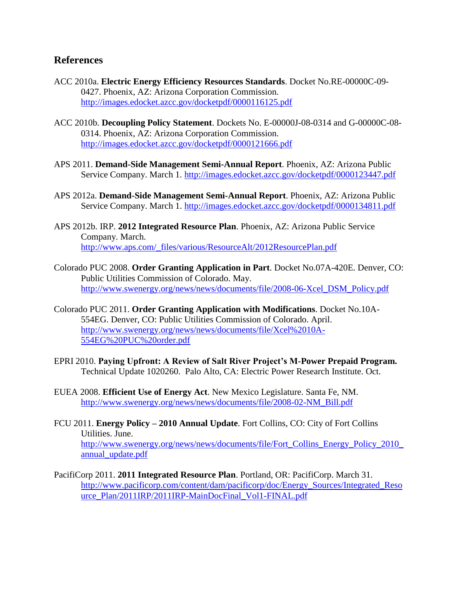# **References**

- ACC 2010a. **Electric Energy Efficiency Resources Standards**. Docket No.RE-00000C-09- 0427. Phoenix, AZ: Arizona Corporation Commission. <http://images.edocket.azcc.gov/docketpdf/0000116125.pdf>
- ACC 2010b. **Decoupling Policy Statement**. Dockets No. E-00000J-08-0314 and G-00000C-08- 0314. Phoenix, AZ: Arizona Corporation Commission. <http://images.edocket.azcc.gov/docketpdf/0000121666.pdf>
- APS 2011. **Demand-Side Management Semi-Annual Report**. Phoenix, AZ: Arizona Public Service Company. March 1.<http://images.edocket.azcc.gov/docketpdf/0000123447.pdf>
- APS 2012a. **Demand-Side Management Semi-Annual Report**. Phoenix, AZ: Arizona Public Service Company. March 1.<http://images.edocket.azcc.gov/docketpdf/0000134811.pdf>
- APS 2012b. IRP. **2012 Integrated Resource Plan**. Phoenix, AZ: Arizona Public Service Company. March. [http://www.aps.com/\\_files/various/ResourceAlt/2012ResourcePlan.pdf](http://www.aps.com/_files/various/ResourceAlt/2012ResourcePlan.pdf)
- Colorado PUC 2008. **Order Granting Application in Part**. Docket No.07A-420E. Denver, CO: Public Utilities Commission of Colorado. May. [http://www.swenergy.org/news/news/documents/file/2008-06-Xcel\\_DSM\\_Policy.pdf](http://www.swenergy.org/news/news/documents/file/2008-06-Xcel_DSM_Policy.pdf)
- Colorado PUC 2011. **Order Granting Application with Modifications**. Docket No.10A-554EG. Denver, CO: Public Utilities Commission of Colorado. April. [http://www.swenergy.org/news/news/documents/file/Xcel%2010A-](http://www.swenergy.org/news/news/documents/file/Xcel%2010A-554EG%20PUC%20order.pdf)[554EG%20PUC%20order.pdf](http://www.swenergy.org/news/news/documents/file/Xcel%2010A-554EG%20PUC%20order.pdf)
- EPRI 2010. **Paying Upfront: A Review of Salt River Project's M-Power Prepaid Program.**  Technical Update 1020260. Palo Alto, CA: Electric Power Research Institute. Oct.
- EUEA 2008. **Efficient Use of Energy Act**. New Mexico Legislature. Santa Fe, NM. [http://www.swenergy.org/news/news/documents/file/2008-02-NM\\_Bill.pdf](http://www.swenergy.org/news/news/documents/file/2008-02-NM_Bill.pdf)
- FCU 2011. **Energy Policy – 2010 Annual Update**. Fort Collins, CO: City of Fort Collins Utilities. June. [http://www.swenergy.org/news/news/documents/file/Fort\\_Collins\\_Energy\\_Policy\\_2010\\_](http://www.swenergy.org/news/news/documents/file/Fort_Collins_Energy_Policy_2010_annual_update.pdf) [annual\\_update.pdf](http://www.swenergy.org/news/news/documents/file/Fort_Collins_Energy_Policy_2010_annual_update.pdf)
- PacifiCorp 2011. **2011 Integrated Resource Plan**. Portland, OR: PacifiCorp. March 31. [http://www.pacificorp.com/content/dam/pacificorp/doc/Energy\\_Sources/Integrated\\_Reso](http://www.pacificorp.com/content/dam/pacificorp/doc/Energy_Sources/Integrated_Resource_Plan/2011IRP/2011IRP-MainDocFinal_Vol1-FINAL.pdf) [urce\\_Plan/2011IRP/2011IRP-MainDocFinal\\_Vol1-FINAL.pdf](http://www.pacificorp.com/content/dam/pacificorp/doc/Energy_Sources/Integrated_Resource_Plan/2011IRP/2011IRP-MainDocFinal_Vol1-FINAL.pdf)